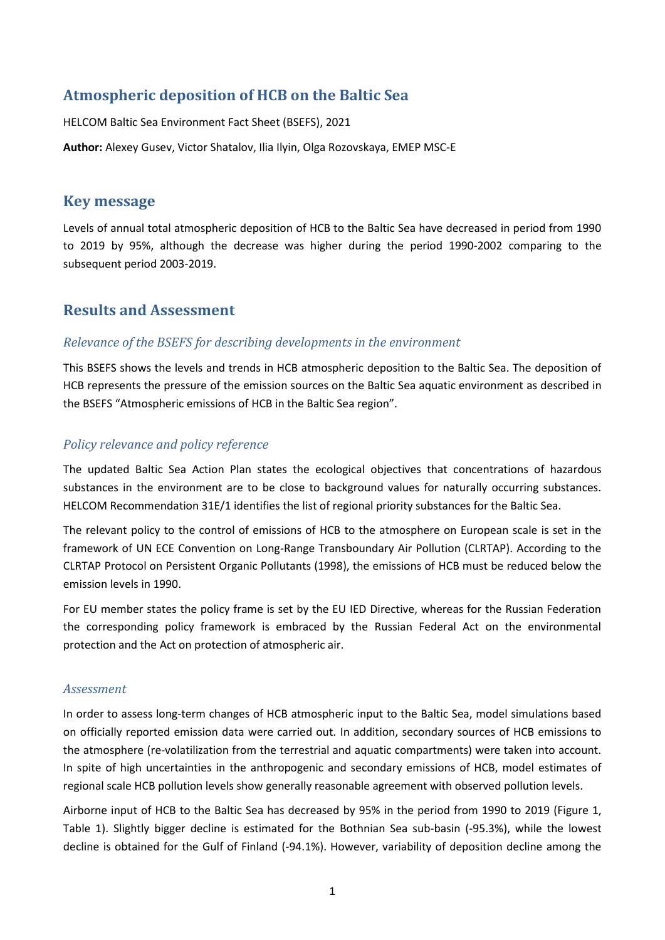## **Atmospheric deposition of HCB on the Baltic Sea**

HELCOM Baltic Sea Environment Fact Sheet (BSEFS), 2021

**Author:** Alexey Gusev, Victor Shatalov, Ilia Ilyin, Olga Rozovskaya, EMEP MSC-E

## **Key message**

Levels of annual total atmospheric deposition of HCB to the Baltic Sea have decreased in period from 1990 to 2019 by 95%, although the decrease was higher during the period 1990-2002 comparing to the subsequent period 2003-2019.

## **Results and Assessment**

#### *Relevance of the BSEFS for describing developments in the environment*

This BSEFS shows the levels and trends in HCB atmospheric deposition to the Baltic Sea. The deposition of HCB represents the pressure of the emission sources on the Baltic Sea aquatic environment as described in the BSEFS "Atmospheric emissions of HCB in the Baltic Sea region".

## *Policy relevance and policy reference*

The updated Baltic Sea Action Plan states the ecological objectives that concentrations of hazardous substances in the environment are to be close to background values for naturally occurring substances. HELCOM Recommendation 31E/1 identifies the list of regional priority substances for the Baltic Sea.

The relevant policy to the control of emissions of HCB to the atmosphere on European scale is set in the framework of UN ECE Convention on Long-Range Transboundary Air Pollution (CLRTAP). According to the CLRTAP Protocol on Persistent Organic Pollutants (1998), the emissions of HCB must be reduced below the emission levels in 1990.

For EU member states the policy frame is set by the EU IED Directive, whereas for the Russian Federation the corresponding policy framework is embraced by the Russian Federal Act on the environmental protection and the Act on protection of atmospheric air.

#### *Assessment*

In order to assess long-term changes of HCB atmospheric input to the Baltic Sea, model simulations based on officially reported emission data were carried out. In addition, secondary sources of HCB emissions to the atmosphere (re-volatilization from the terrestrial and aquatic compartments) were taken into account. In spite of high uncertainties in the anthropogenic and secondary emissions of HCB, model estimates of regional scale HCB pollution levels show generally reasonable agreement with observed pollution levels.

Airborne input of HCB to the Baltic Sea has decreased by 95% in the period from 1990 to 2019 (Figure 1, Table 1). Slightly bigger decline is estimated for the Bothnian Sea sub-basin (-95.3%), while the lowest decline is obtained for the Gulf of Finland (-94.1%). However, variability of deposition decline among the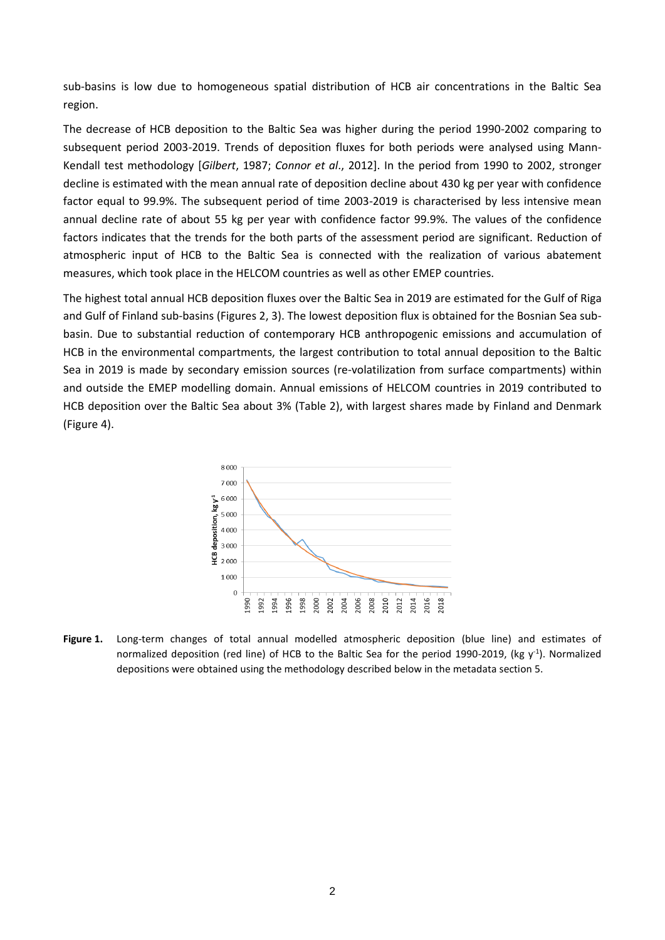sub-basins is low due to homogeneous spatial distribution of HCB air concentrations in the Baltic Sea region.

The decrease of HCB deposition to the Baltic Sea was higher during the period 1990-2002 comparing to subsequent period 2003-2019. Trends of deposition fluxes for both periods were analysed using Mann-Kendall test methodology [*Gilbert*, 1987; *Connor et al*., 2012]. In the period from 1990 to 2002, stronger decline is estimated with the mean annual rate of deposition decline about 430 kg per year with confidence factor equal to 99.9%. The subsequent period of time 2003-2019 is characterised by less intensive mean annual decline rate of about 55 kg per year with confidence factor 99.9%. The values of the confidence factors indicates that the trends for the both parts of the assessment period are significant. Reduction of atmospheric input of HCB to the Baltic Sea is connected with the realization of various abatement measures, which took place in the HELCOM countries as well as other EMEP countries.

The highest total annual HCB deposition fluxes over the Baltic Sea in 2019 are estimated for the Gulf of Riga and Gulf of Finland sub-basins (Figures 2, 3). The lowest deposition flux is obtained for the Bosnian Sea subbasin. Due to substantial reduction of contemporary HCB anthropogenic emissions and accumulation of HCB in the environmental compartments, the largest contribution to total annual deposition to the Baltic Sea in 2019 is made by secondary emission sources (re-volatilization from surface compartments) within and outside the EMEP modelling domain. Annual emissions of HELCOM countries in 2019 contributed to HCB deposition over the Baltic Sea about 3% (Table 2), with largest shares made by Finland and Denmark (Figure 4).



**Figure 1.** Long-term changes of total annual modelled atmospheric deposition (blue line) and estimates of normalized deposition (red line) of HCB to the Baltic Sea for the period 1990-2019, (kg  $y$ <sup>1</sup>). Normalized depositions were obtained using the methodology described below in the metadata section 5.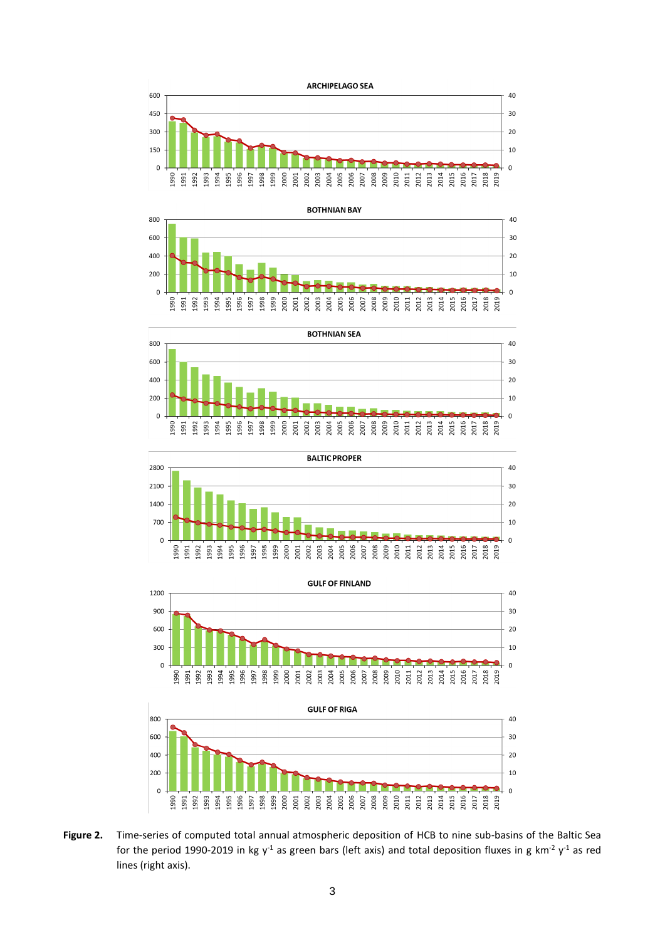









**Figure 2.** Time-series of computed total annual atmospheric deposition of HCB to nine sub-basins of the Baltic Sea for the period 1990-2019 in kg y<sup>-1</sup> as green bars (left axis) and total deposition fluxes in g km<sup>-2</sup> y<sup>-1</sup> as red lines (right axis).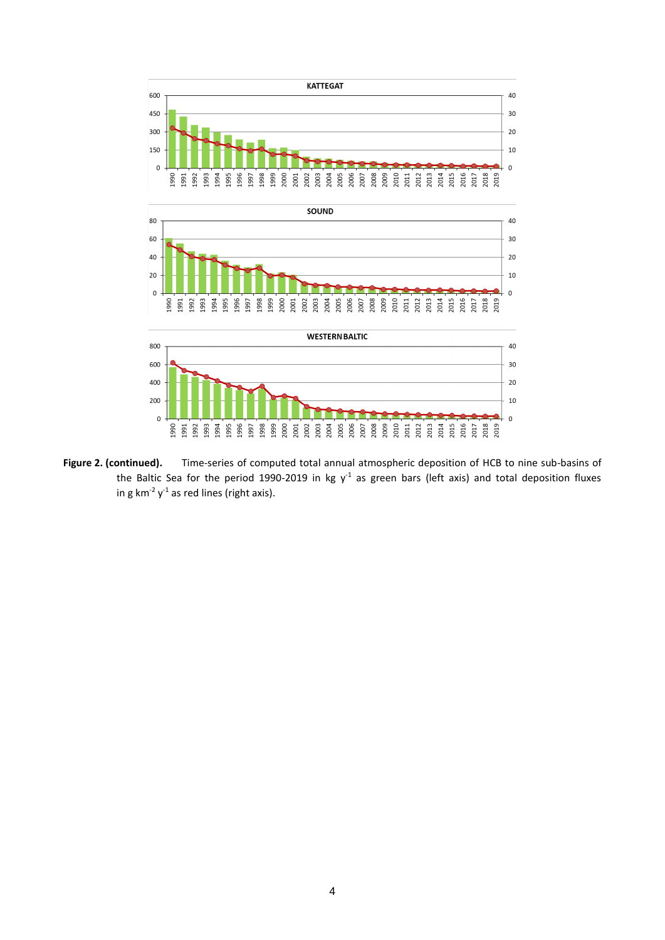

**Figure 2. (continued).** Time-series of computed total annual atmospheric deposition of HCB to nine sub-basins of the Baltic Sea for the period 1990-2019 in kg  $y<sup>-1</sup>$  as green bars (left axis) and total deposition fluxes in g km<sup>-2</sup>  $y$ <sup>-1</sup> as red lines (right axis).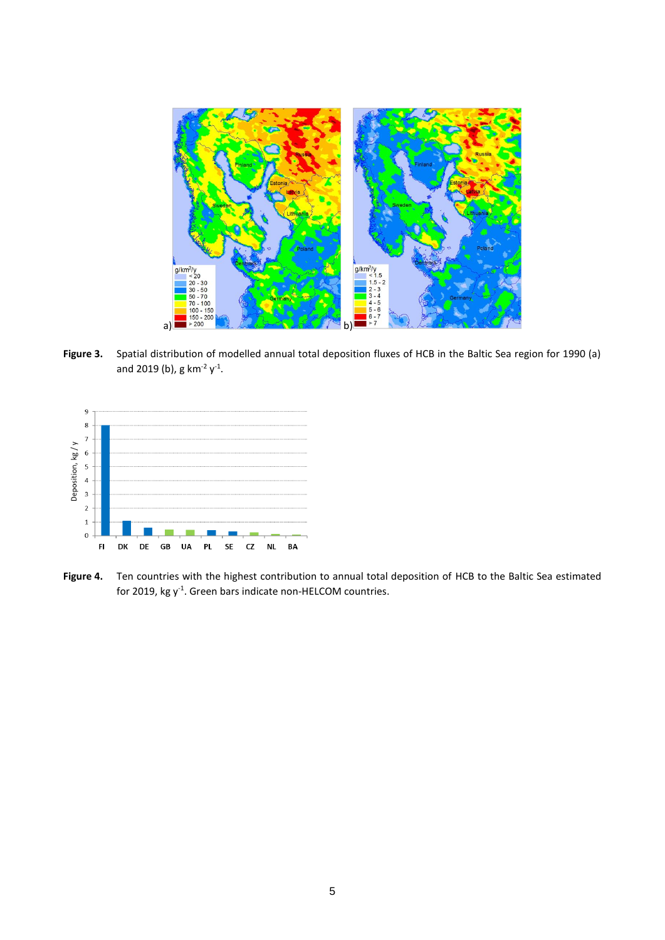

Figure 3. Spatial distribution of modelled annual total deposition fluxes of HCB in the Baltic Sea region for 1990 (a) and 2019 (b), g km<sup>-2</sup>  $y^{-1}$ .



**Figure 4.** Ten countries with the highest contribution to annual total deposition of HCB to the Baltic Sea estimated for 2019, kg  $y^{-1}$ . Green bars indicate non-HELCOM countries.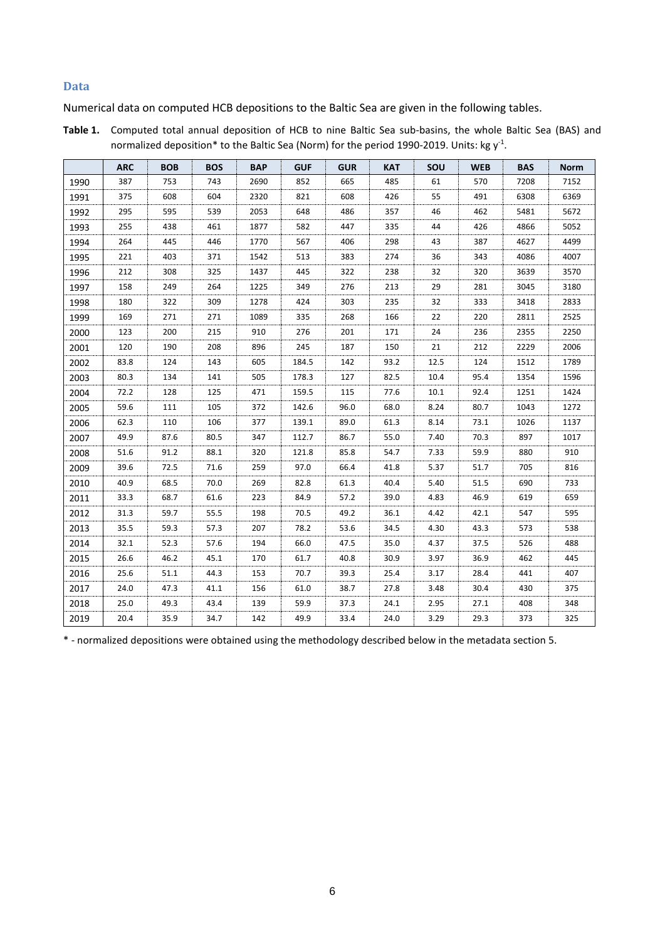#### **Data**

Numerical data on computed HCB depositions to the Baltic Sea are given in the following tables.

| Table 1. Computed total annual deposition of HCB to nine Baltic Sea sub-basins, the whole Baltic Sea (BAS) and |
|----------------------------------------------------------------------------------------------------------------|
| normalized deposition* to the Baltic Sea (Norm) for the period 1990-2019. Units: kg $y^{-1}$ .                 |

|      | <b>ARC</b> | <b>BOB</b> | <b>BOS</b> | <b>BAP</b> | <b>GUF</b> | <b>GUR</b> | <b>KAT</b> | SOU  | <b>WEB</b> | <b>BAS</b> | <b>Norm</b> |
|------|------------|------------|------------|------------|------------|------------|------------|------|------------|------------|-------------|
| 1990 | 387        | 753        | 743        | 2690       | 852        | 665        | 485        | 61   | 570        | 7208       | 7152        |
| 1991 | 375        | 608        | 604        | 2320       | 821        | 608        | 426        | 55   | 491        | 6308       | 6369        |
| 1992 | 295        | 595        | 539        | 2053       | 648        | 486        | 357        | 46   | 462        | 5481       | 5672        |
| 1993 | 255        | 438        | 461        | 1877       | 582        | 447        | 335        | 44   | 426        | 4866       | 5052        |
| 1994 | 264        | 445        | 446        | 1770       | 567        | 406        | 298        | 43   | 387        | 4627       | 4499        |
| 1995 | 221        | 403        | 371        | 1542       | 513        | 383        | 274        | 36   | 343        | 4086       | 4007        |
| 1996 | 212        | 308        | 325        | 1437       | 445        | 322        | 238        | 32   | 320        | 3639       | 3570        |
| 1997 | 158        | 249        | 264        | 1225       | 349        | 276        | 213        | 29   | 281        | 3045       | 3180        |
| 1998 | 180        | 322        | 309        | 1278       | 424        | 303        | 235        | 32   | 333        | 3418       | 2833        |
| 1999 | 169        | 271        | 271        | 1089       | 335        | 268        | 166        | 22   | 220        | 2811       | 2525        |
| 2000 | 123        | 200        | 215        | 910        | 276        | 201        | 171        | 24   | 236        | 2355       | 2250        |
| 2001 | 120        | 190        | 208        | 896        | 245        | 187        | 150        | 21   | 212        | 2229       | 2006        |
| 2002 | 83.8       | 124        | 143        | 605        | 184.5      | 142        | 93.2       | 12.5 | 124        | 1512       | 1789        |
| 2003 | 80.3       | 134        | 141        | 505        | 178.3      | 127        | 82.5       | 10.4 | 95.4       | 1354       | 1596        |
| 2004 | 72.2       | 128        | 125        | 471        | 159.5      | 115        | 77.6       | 10.1 | 92.4       | 1251       | 1424        |
| 2005 | 59.6       | 111        | 105        | 372        | 142.6      | 96.0       | 68.0       | 8.24 | 80.7       | 1043       | 1272        |
| 2006 | 62.3       | 110        | 106        | 377        | 139.1      | 89.0       | 61.3       | 8.14 | 73.1       | 1026       | 1137        |
| 2007 | 49.9       | 87.6       | 80.5       | 347        | 112.7      | 86.7       | 55.0       | 7.40 | 70.3       | 897        | 1017        |
| 2008 | 51.6       | 91.2       | 88.1       | 320        | 121.8      | 85.8       | 54.7       | 7.33 | 59.9       | 880        | 910         |
| 2009 | 39.6       | 72.5       | 71.6       | 259        | 97.0       | 66.4       | 41.8       | 5.37 | 51.7       | 705        | 816         |
| 2010 | 40.9       | 68.5       | 70.0       | 269        | 82.8       | 61.3       | 40.4       | 5.40 | 51.5       | 690        | 733         |
| 2011 | 33.3       | 68.7       | 61.6       | 223        | 84.9       | 57.2       | 39.0       | 4.83 | 46.9       | 619        | 659         |
| 2012 | 31.3       | 59.7       | 55.5       | 198        | 70.5       | 49.2       | 36.1       | 4.42 | 42.1       | 547        | 595         |
| 2013 | 35.5       | 59.3       | 57.3       | 207        | 78.2       | 53.6       | 34.5       | 4.30 | 43.3       | 573        | 538         |
| 2014 | 32.1       | 52.3       | 57.6       | 194        | 66.0       | 47.5       | 35.0       | 4.37 | 37.5       | 526        | 488         |
| 2015 | 26.6       | 46.2       | 45.1       | 170        | 61.7       | 40.8       | 30.9       | 3.97 | 36.9       | 462        | 445         |
| 2016 | 25.6       | 51.1       | 44.3       | 153        | 70.7       | 39.3       | 25.4       | 3.17 | 28.4       | 441        | 407         |
| 2017 | 24.0       | 47.3       | 41.1       | 156        | 61.0       | 38.7       | 27.8       | 3.48 | 30.4       | 430        | 375         |
| 2018 | 25.0       | 49.3       | 43.4       | 139        | 59.9       | 37.3       | 24.1       | 2.95 | 27.1       | 408        | 348         |
| 2019 | 20.4       | 35.9       | 34.7       | 142        | 49.9       | 33.4       | 24.0       | 3.29 | 29.3       | 373        | 325         |

\* - normalized depositions were obtained using the methodology described below in the metadata section 5.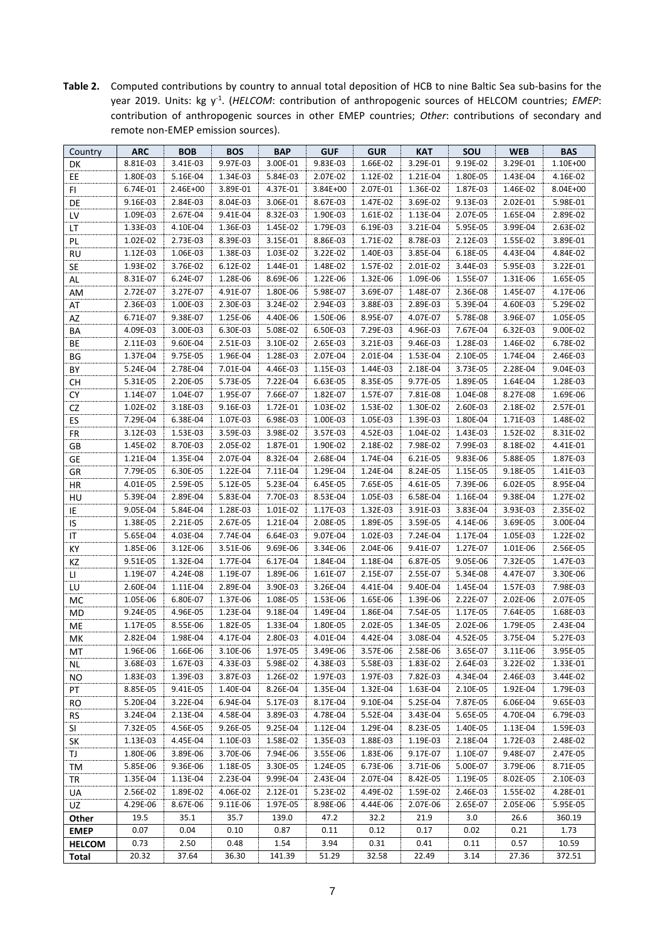**Table 2.** Computed contributions by country to annual total deposition of HCB to nine Baltic Sea sub-basins for the year 2019. Units: kg y<sup>-1</sup>. (*HELCOM*: contribution of anthropogenic sources of HELCOM countries; *EMEP*: contribution of anthropogenic sources in other EMEP countries; *Other*: contributions of secondary and remote non-EMEP emission sources).

| Country       | <b>ARC</b> | <b>BOB</b> | <b>BOS</b> | <b>BAP</b> | <b>GUF</b> | <b>GUR</b> | <b>KAT</b>           | SOU      | <b>WEB</b> | <b>BAS</b> |
|---------------|------------|------------|------------|------------|------------|------------|----------------------|----------|------------|------------|
| DK            | 8.81E-03   | 3.41E-03   | 9.97E-03   | 3.00E-01   | 9.83E-03   | 1.66E-02   | 3.29E-01             | 9.19E-02 | 3.29E-01   | 1.10E+00   |
| EE            | 1.80E-03   | 5.16E-04   | 1.34E-03   | 5.84E-03   | 2.07E-02   | 1.12E-02   | 1.21E-04             | 1.80E-05 | 1.43E-04   | 4.16E-02   |
| FI.           | 6.74E-01   | 2.46E+00   | 3.89E-01   | 4.37E-01   | 3.84E+00   | 2.07E-01   | 1.36E-02             | 1.87E-03 | 1.46E-02   | 8.04E+00   |
| DE            | 9.16E-03   | 2.84E-03   | 8.04E-03   | 3.06E-01   | 8.67E-03   | 1.47E-02   | 3.69E-02             | 9.13E-03 | 2.02E-01   | 5.98E-01   |
| LV            | 1.09E-03   | 2.67E-04   | 9.41E-04   | 8.32E-03   | 1.90E-03   | 1.61E-02   | 1.13E-04             | 2.07E-05 | 1.65E-04   | 2.89E-02   |
| LT            | 1.33E-03   | 4.10E-04   | 1.36E-03   | 1.45E-02   | 1.79E-03   | 6.19E-03   | 3.21E-04             | 5.95E-05 | 3.99E-04   | 2.63E-02   |
| PL            | 1.02E-02   | 2.73E-03   | 8.39E-03   | 3.15E-01   | 8.86E-03   | 1.71E-02   | 8.78E-03             | 2.12E-03 | 1.55E-02   | 3.89E-01   |
| <b>RU</b>     | 1.12E-03   | 1.06E-03   | 1.38E-03   | 1.03E-02   | 3.22E-02   | 1.40E-03   | 3.85E-04             | 6.18E-05 | 4.43E-04   | 4.84E-02   |
| SE            | 1.93E-02   | 3.76E-02   | 6.12E-02   | 1.44E-01   | 1.48E-02   | 1.57E-02   | 2.01E-02             | 3.44E-03 | 5.95E-03   | 3.22E-01   |
| AL            | 8.31E-07   | 6.24E-07   | 1.28E-06   | 8.69E-06   | 1.22E-06   | 1.32E-06   | 1.09E-06             | 1.55E-07 | 1.31E-06   | 1.65E-05   |
| AM            | 2.72E-07   | 3.27E-07   | 4.91E-07   | 1.80E-06   | 5.98E-07   | 3.69E-07   | 1.48E-07             | 2.36E-08 | 1.45E-07   | 4.17E-06   |
| AT            | 2.36E-03   | 1.00E-03   | 2.30E-03   | 3.24E-02   | 2.94E-03   | 3.88E-03   | 2.89E-03             | 5.39E-04 | 4.60E-03   | 5.29E-02   |
| AZ            | 6.71E-07   | 9.38E-07   | 1.25E-06   | 4.40E-06   | 1.50E-06   | 8.95E-07   | 4.07E-07             | 5.78E-08 | 3.96E-07   | 1.05E-05   |
| BA            | 4.09E-03   | 3.00E-03   | 6.30E-03   | 5.08E-02   | 6.50E-03   | 7.29E-03   | 4.96E-03             | 7.67E-04 | 6.32E-03   | 9.00E-02   |
| BE            | 2.11E-03   | 9.60E-04   | 2.51E-03   | 3.10E-02   | 2.65E-03   | 3.21E-03   | 9.46E-03             | 1.28E-03 | 1.46E-02   | 6.78E-02   |
| ΒG            | 1.37E-04   | 9.75E-05   | 1.96E-04   | 1.28E-03   | 2.07E-04   | 2.01E-04   | 1.53E-04             | 2.10E-05 | 1.74E-04   | 2.46E-03   |
| BY            | 5.24E-04   | 2.78E-04   | 7.01E-04   | 4.46E-03   | 1.15E-03   | 1.44E-03   | 2.18E-04             | 3.73E-05 | 2.28E-04   | 9.04E-03   |
| СH            | 5.31E-05   | 2.20E-05   | 5.73E-05   | 7.22E-04   | 6.63E-05   | 8.35E-05   | 9.77E-05             | 1.89E-05 | 1.64E-04   | 1.28E-03   |
| CY            | 1.14E-07   | 1.04E-07   | 1.95E-07   | 7.66E-07   | 1.82E-07   | 1.57E-07   | 7.81E-08             | 1.04E-08 | 8.27E-08   | 1.69E-06   |
| CZ            | 1.02E-02   | 3.18E-03   | 9.16E-03   | 1.72E-01   | 1.03E-02   | 1.53E-02   | 1.30E-02             | 2.60E-03 | 2.18E-02   | 2.57E-01   |
| ES            | 7.29E-04   | 6.38E-04   | 1.07E-03   | 6.98E-03   | 1.00E-03   | 1.05E-03   | 1.39E-03             | 1.80E-04 | 1.71E-03   | 1.48E-02   |
| FR            | 3.12E-03   | 1.53E-03   | 3.59E-03   | 3.98E-02   | 3.57E-03   | 4.52E-03   | 1.04E-02             | 1.43E-03 | 1.52E-02   | 8.31E-02   |
| GB            | 1.45E-02   | 8.70E-03   | 2.05E-02   | 1.87E-01   | 1.90E-02   | 2.18E-02   | 7.98E-02             | 7.99E-03 | 8.18E-02   | 4.41E-01   |
| GE            | 1.21E-04   | 1.35E-04   | 2.07E-04   | 8.32E-04   | 2.68E-04   | 1.74E-04   | 6.21E-05             | 9.83E-06 | 5.88E-05   | 1.87E-03   |
| GR            | 7.79E-05   | 6.30E-05   | 1.22E-04   | 7.11E-04   | 1.29E-04   | 1.24E-04   | 8.24E-05             | 1.15E-05 | 9.18E-05   | 1.41E-03   |
| HR            | 4.01E-05   | 2.59E-05   | 5.12E-05   | 5.23E-04   | 6.45E-05   | 7.65E-05   | 4.61E-05             | 7.39E-06 | 6.02E-05   | 8.95E-04   |
| HU            | 5.39E-04   | 2.89E-04   | 5.83E-04   | 7.70E-03   | 8.53E-04   | 1.05E-03   | 6.58E-04             | 1.16E-04 | 9.38E-04   | 1.27E-02   |
| IE            | 9.05E-04   | 5.84E-04   | 1.28E-03   | 1.01E-02   | 1.17E-03   | 1.32E-03   | 3.91E-03             | 3.83E-04 | 3.93E-03   | 2.35E-02   |
| IS            | 1.38E-05   | 2.21E-05   | 2.67E-05   | 1.21E-04   | 2.08E-05   | 1.89E-05   | 3.59E-05             | 4.14E-06 | 3.69E-05   | 3.00E-04   |
| IT            | 5.65E-04   | 4.03E-04   | 7.74E-04   | 6.64E-03   | 9.07E-04   | 1.02E-03   | 7.24E-04             | 1.17E-04 | 1.05E-03   | 1.22E-02   |
| КY            | 1.85E-06   | 3.12E-06   | 3.51E-06   | 9.69E-06   | 3.34E-06   | 2.04E-06   | 9.41E-07             | 1.27E-07 | 1.01E-06   | 2.56E-05   |
| ΚZ            | 9.51E-05   | 1.32E-04   | 1.77E-04   | 6.17E-04   | 1.84E-04   | 1.18E-04   | 6.87E-05             | 9.05E-06 | 7.32E-05   | 1.47E-03   |
| П             | 1.19E-07   | 4.24E-08   | 1.19E-07   | 1.89E-06   | 1.61E-07   | 2.15E-07   | 2.55E-07             | 5.34E-08 | 4.47E-07   | 3.30E-06   |
| LU            | 2.60E-04   | 1.11E-04   | 2.89E-04   | 3.90E-03   | 3.26E-04   | 4.41E-04   | 9.40E-04             | 1.45E-04 | 1.57E-03   | 7.98E-03   |
| MC            | 1.05E-06   | 6.80E-07   | 1.37E-06   | 1.08E-05   | 1.53E-06   | 1.65E-06   | 1.39E-06             | 2.22E-07 | 2.02E-06   | 2.07E-05   |
| MD            | 9.24E-05   | 4.96E-05   | 1.23E-04   | 9.18E-04   | 1.49E-04   | 1.86E-04   | 7.54E-05             | 1.17E-05 | 7.64E-05   | 1.68E-03   |
|               | 1.17E-05   | 8.55E-06   | 1.82E-05   | 1.33E-04   | 1.80E-05   | 2.02E-05   | 1.34E-05             | 2.02E-06 | 1.79E-05   | 2.43E-04   |
| ME<br>МK      | 2.82E-04   | 1.98E-04   | 4.17E-04   | 2.80E-03   | 4.01E-04   | 4.42E-04   | 3.08E-04             | 4.52E-05 | 3.75E-04   | 5.27E-03   |
| МT            | 1.96E-06   | 1.66E-06   | 3.10E-06   | 1.97E-05   | 3.49E-06   | 3.57E-06   | 2.58E-06             | 3.65E-07 | 3.11E-06   | 3.95E-05   |
|               | 3.68E-03   | 1.67E-03   | 4.33E-03   | 5.98E-02   | 4.38E-03   | 5.58E-03   | 1.83E-02             | 2.64E-03 | 3.22E-02   | 1.33E-01   |
| ΝL<br>NO.     | 1.83E-03   | 1.39E-03   | 3.87E-03   | 1.26E-02   | 1.97E-03   | 1.97E-03   | 7.82E-03             | 4.34E-04 | 2.46E-03   | 3.44E-02   |
| PT            | 8.85E-05   | 9.41E-05   | 1.40E-04   | 8.26E-04   | 1.35E-04   | 1.32E-04   | 1.63E-04             | 2.10E-05 | 1.92E-04   | 1.79E-03   |
|               | 5.20E-04   | 3.22E-04   | 6.94E-04   | 5.17E-03   | 8.17E-04   | 9.10E-04   | 5.25E-04             | 7.87E-05 | 6.06E-04   | 9.65E-03   |
| <b>RO</b>     | 3.24E-04   | 2.13E-04   | 4.58E-04   |            | 4.78E-04   | 5.52E-04   |                      | 5.65E-05 | 4.70E-04   |            |
| <b>RS</b>     |            | 4.56E-05   | 9.26E-05   | 3.89E-03   | 1.12E-04   | 1.29E-04   | 3.43E-04<br>8.23E-05 |          |            | 6.79E-03   |
| SL            | 7.32E-05   |            |            | 9.25E-04   |            |            |                      | 1.40E-05 | 1.13E-04   | 1.59E-03   |
| SK            | 1.13E-03   | 4.45E-04   | 1.10E-03   | 1.58E-02   | 1.35E-03   | 1.88E-03   | 1.19E-03             | 2.18E-04 | 1.72E-03   | 2.48E-02   |
| TJ            | 1.80E-06   | 3.89E-06   | 3.70E-06   | 7.94E-06   | 3.55E-06   | 1.83E-06   | 9.17E-07             | 1.10E-07 | 9.48E-07   | 2.47E-05   |
| TM            | 5.85E-06   | 9.36E-06   | 1.18E-05   | 3.30E-05   | 1.24E-05   | 6.73E-06   | 3.71E-06             | 5.00E-07 | 3.79E-06   | 8.71E-05   |
| TR            | 1.35E-04   | 1.13E-04   | 2.23E-04   | 9.99E-04   | 2.43E-04   | 2.07E-04   | 8.42E-05             | 1.19E-05 | 8.02E-05   | 2.10E-03   |
| UA            | 2.56E-02   | 1.89E-02   | 4.06E-02   | 2.12E-01   | 5.23E-02   | 4.49E-02   | 1.59E-02             | 2.46E-03 | 1.55E-02   | 4.28E-01   |
| UZ            | 4.29E-06   | 8.67E-06   | 9.11E-06   | 1.97E-05   | 8.98E-06   | 4.44E-06   | 2.07E-06             | 2.65E-07 | 2.05E-06   | 5.95E-05   |
| Other         | 19.5       | 35.1       | 35.7       | 139.0      | 47.2       | 32.2       | 21.9                 | 3.0      | 26.6       | 360.19     |
| <b>EMEP</b>   | 0.07       | 0.04       | 0.10       | 0.87       | 0.11       | 0.12       | 0.17                 | 0.02     | 0.21       | 1.73       |
| <b>HELCOM</b> | 0.73       | 2.50       | 0.48       | 1.54       | 3.94       | 0.31       | 0.41                 | 0.11     | 0.57       | 10.59      |
| Total         | 20.32      | 37.64      | 36.30      | 141.39     | 51.29      | 32.58      | 22.49                | 3.14     | 27.36      | 372.51     |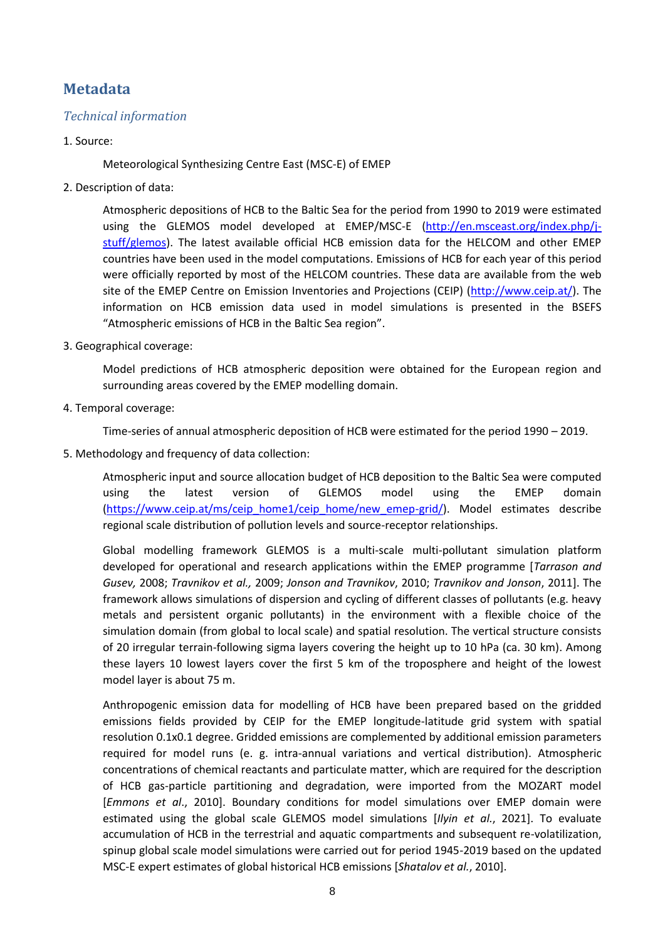# **Metadata**

## *Technical information*

#### 1. Source:

Meteorological Synthesizing Centre East (MSC-E) of EMEP

2. Description of data:

Atmospheric depositions of HCB to the Baltic Sea for the period from 1990 to 2019 were estimated using the GLEMOS model developed at EMEP/MSC-E [\(http://en.msceast.org/index.php/j](http://en.msceast.org/index.php/j-stuff/glemos)[stuff/glemos\)](http://en.msceast.org/index.php/j-stuff/glemos). The latest available official HCB emission data for the HELCOM and other EMEP countries have been used in the model computations. Emissions of HCB for each year of this period were officially reported by most of the HELCOM countries. These data are available from the web site of the EMEP Centre on Emission Inventories and Projections (CEIP) [\(http://www.ceip.at/\)](http://www.ceip.at/). The information on HCB emission data used in model simulations is presented in the BSEFS "Atmospheric emissions of HCB in the Baltic Sea region".

3. Geographical coverage:

Model predictions of HCB atmospheric deposition were obtained for the European region and surrounding areas covered by the EMEP modelling domain.

4. Temporal coverage:

Time-series of annual atmospheric deposition of HCB were estimated for the period 1990 – 2019.

5. Methodology and frequency of data collection:

Atmospheric input and source allocation budget of HCB deposition to the Baltic Sea were computed using the latest version of GLEMOS model using the EMEP domain [\(https://www.ceip.at/ms/ceip\\_home1/ceip\\_home/new\\_emep-grid/\)](https://www.ceip.at/ms/ceip_home1/ceip_home/new_emep-grid/). Model estimates describe regional scale distribution of pollution levels and source-receptor relationships.

Global modelling framework GLEMOS is a multi-scale multi-pollutant simulation platform developed for operational and research applications within the EMEP programme [*Tarrason and Gusev,* 2008; *Travnikov et al.,* 2009; *Jonson and Travnikov*, 2010; *Travnikov and Jonson*, 2011]. The framework allows simulations of dispersion and cycling of different classes of pollutants (e.g. heavy metals and persistent organic pollutants) in the environment with a flexible choice of the simulation domain (from global to local scale) and spatial resolution. The vertical structure consists of 20 irregular terrain-following sigma layers covering the height up to 10 hPa (ca. 30 km). Among these layers 10 lowest layers cover the first 5 km of the troposphere and height of the lowest model layer is about 75 m.

Anthropogenic emission data for modelling of HCB have been prepared based on the gridded emissions fields provided by CEIP for the EMEP longitude-latitude grid system with spatial resolution 0.1x0.1 degree. Gridded emissions are complemented by additional emission parameters required for model runs (e. g. intra-annual variations and vertical distribution). Atmospheric concentrations of chemical reactants and particulate matter, which are required for the description of HCB gas-particle partitioning and degradation, were imported from the MOZART model [*Emmons et al*., 2010]. Boundary conditions for model simulations over EMEP domain were estimated using the global scale GLEMOS model simulations [*Ilyin et al.*, 2021]. To evaluate accumulation of HCB in the terrestrial and aquatic compartments and subsequent re-volatilization, spinup global scale model simulations were carried out for period 1945-2019 based on the updated MSC-E expert estimates of global historical HCB emissions [*Shatalov et al.*, 2010].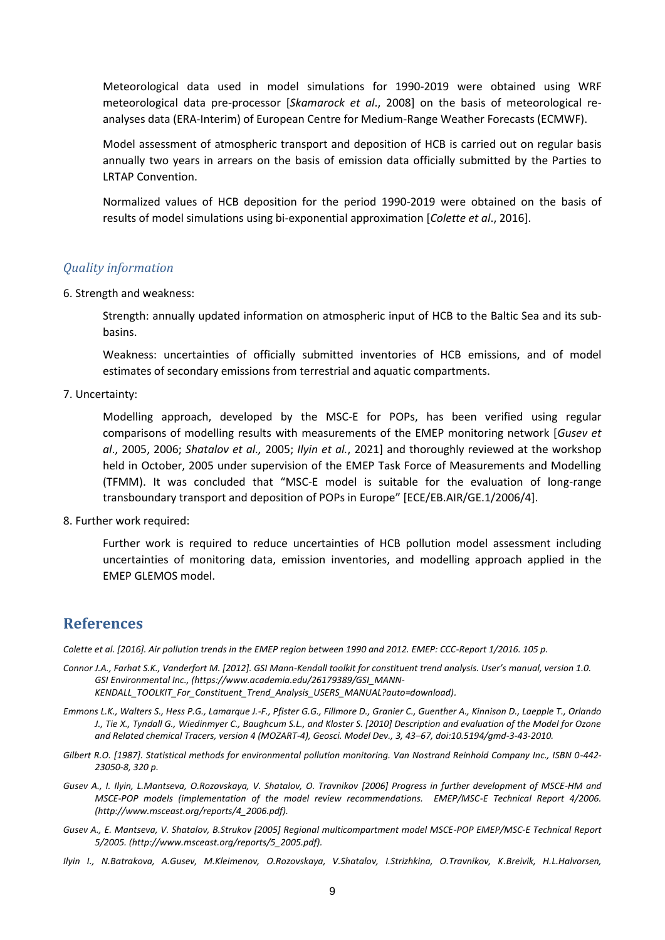Meteorological data used in model simulations for 1990-2019 were obtained using WRF meteorological data pre-processor [*Skamarock et al*., 2008] on the basis of meteorological reanalyses data (ERA-Interim) of European Centre for Medium-Range Weather Forecasts (ECMWF).

Model assessment of atmospheric transport and deposition of HCB is carried out on regular basis annually two years in arrears on the basis of emission data officially submitted by the Parties to LRTAP Convention.

Normalized values of HCB deposition for the period 1990-2019 were obtained on the basis of results of model simulations using bi-exponential approximation [*Colette et al*., 2016].

#### *Quality information*

6. Strength and weakness:

Strength: annually updated information on atmospheric input of HCB to the Baltic Sea and its subbasins.

Weakness: uncertainties of officially submitted inventories of HCB emissions, and of model estimates of secondary emissions from terrestrial and aquatic compartments.

7. Uncertainty:

Modelling approach, developed by the MSC-E for POPs, has been verified using regular comparisons of modelling results with measurements of the EMEP monitoring network [*Gusev et al*., 2005, 2006; *Shatalov et al.,* 2005; *Ilyin et al.*, 2021] and thoroughly reviewed at the workshop held in October, 2005 under supervision of the EMEP Task Force of Measurements and Modelling (TFMM). It was concluded that "MSC-E model is suitable for the evaluation of long-range transboundary transport and deposition of POPs in Europe" [ECE/EB.AIR/GE.1/2006/4].

8. Further work required:

Further work is required to reduce uncertainties of HCB pollution model assessment including uncertainties of monitoring data, emission inventories, and modelling approach applied in the EMEP GLEMOS model.

### **References**

*Colette et al. [2016]. Air pollution trends in the EMEP region between 1990 and 2012. EMEP: CCC-Report 1/2016. 105 p.* 

- *Connor J.A., Farhat S.K., Vanderfort M. [2012]. GSI Mann-Kendall toolkit for constituent trend analysis. User's manual, version 1.0. GSI Environmental Inc., (https://www.academia.edu/26179389/GSI\_MANN-KENDALL\_TOOLKIT\_For\_Constituent\_Trend\_Analysis\_USERS\_MANUAL?auto=download).*
- *Emmons L.K., Walters S., Hess P.G., Lamarque J.-F., Pfister G.G., Fillmore D., Granier C., Guenther A., Kinnison D., Laepple T., Orlando J., Tie X., Tyndall G., Wiedinmyer C., Baughcum S.L., and Kloster S. [2010] Description and evaluation of the Model for Ozone and Related chemical Tracers, version 4 (MOZART-4), Geosci. Model Dev., 3, 43–67, doi:10.5194/gmd-3-43-2010.*
- *Gilbert R.O. [1987]. Statistical methods for environmental pollution monitoring. Van Nostrand Reinhold Company Inc., ISBN 0-442- 23050-8, 320 p.*
- *Gusev A., I. Ilyin, L.Mantseva, O.Rozovskaya, V. Shatalov, O. Travnikov [2006] Progress in further development of MSCE-HM and MSCE-POP models (implementation of the model review recommendations. EMEP/MSC-E Technical Report 4/2006. [\(http://www.msceast.org/reports/4\\_2006.pdf\)](http://www.msceast.org/reports/4_2006.pdf).*
- *Gusev A., E. Mantseva, V. Shatalov, B.Strukov [2005] Regional multicompartment model MSCE-POP EMEP/MSC-E Technical Report 5/2005. [\(http://www.msceast.org/reports/5\\_2005.pdf\)](http://www.msceast.org/reports/5_2005.pdf).*
- *Ilyin I., N.Batrakova, A.Gusev, M.Kleimenov, O.Rozovskaya, V.Shatalov, I.Strizhkina, O.Travnikov, K.Breivik, H.L.Halvorsen,*